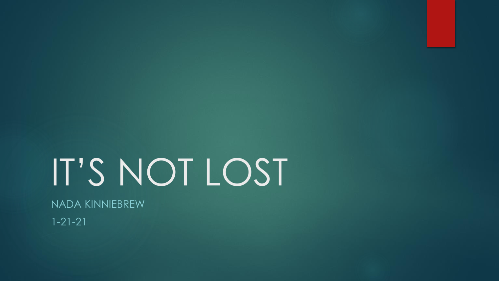# IT'S NOT LOST

NADA KINNIEBREW

 $1 - 21 - 21$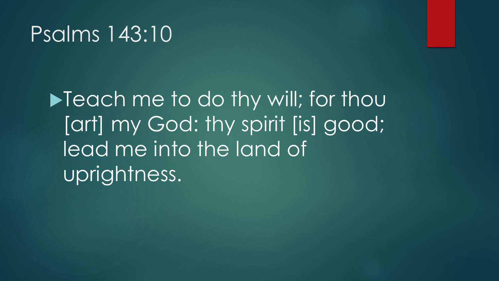#### Psalms 143:10

 $\blacktriangleright$  Teach me to do thy will; for thou [art] my God: thy spirit [is] good; lead me into the land of uprightness.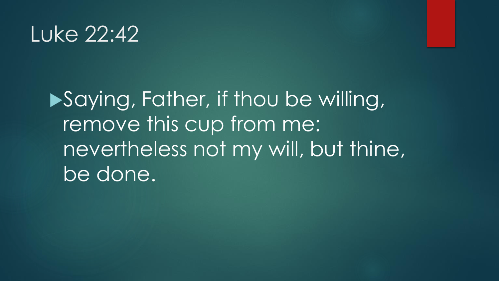## Luke 22:42

# **Saying, Father, if thou be willing,** remove this cup from me: nevertheless not my will, but thine, be done.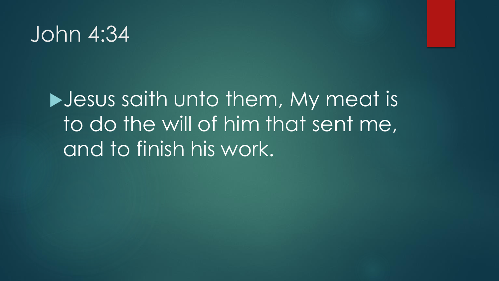#### John 4:34

# **Desus saith unto them, My meat is** to do the will of him that sent me, and to finish his work.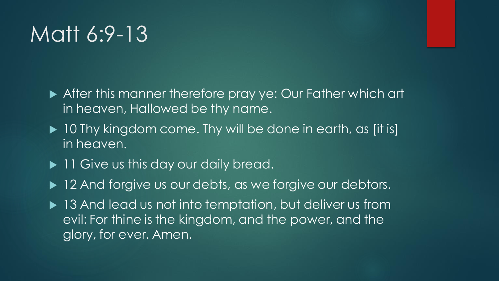## Matt 6:9-13

- ▶ After this manner therefore pray ye: Our Father which art in heaven, Hallowed be thy name.
- ▶ 10 Thy kingdom come. Thy will be done in earth, as [it is] in heaven.
- ▶ 11 Give us this day our daily bread.
- ▶ 12 And forgive us our debts, as we forgive our debtors.
- ▶ 13 And lead us not into temptation, but deliver us from evil: For thine is the kingdom, and the power, and the glory, for ever. Amen.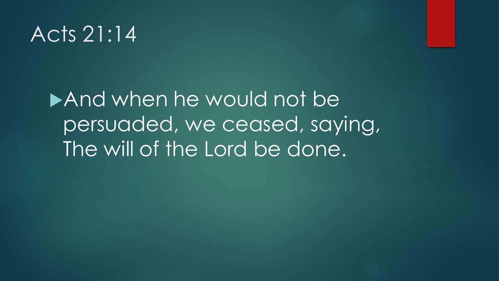## Acts 21:14

And when he would not be persuaded, we ceased, saying, The will of the Lord be done.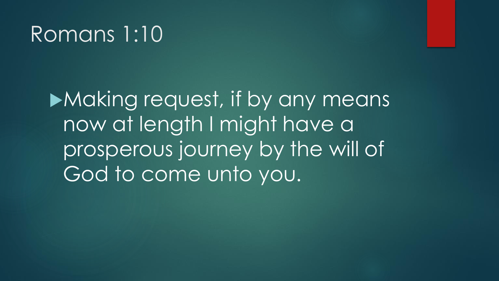## Romans 1:10

Making request, if by any means now at length I might have a prosperous journey by the will of God to come unto you.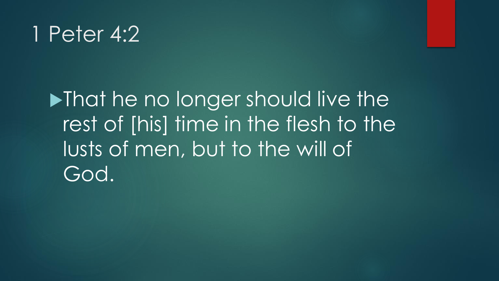## 1 Peter 4:2

**Inatianally in the no longer should live the** rest of [his] time in the flesh to the lusts of men, but to the will of God.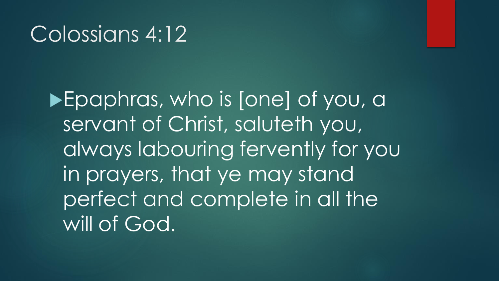#### Colossians 4:12

Epaphras, who is [one] of you, a servant of Christ, saluteth you, always labouring fervently for you in prayers, that ye may stand perfect and complete in all the will of God.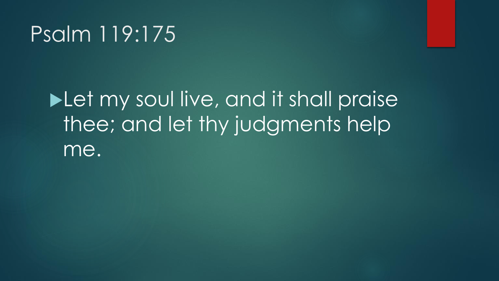## Psalm 119:175

# **Let my soul live, and it shall praise** thee; and let thy judgments help me.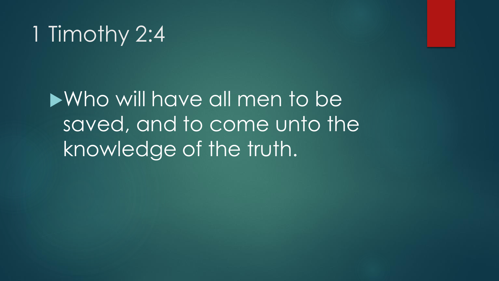# 1 Timothy 2:4

Who will have all men to be saved, and to come unto the knowledge of the truth.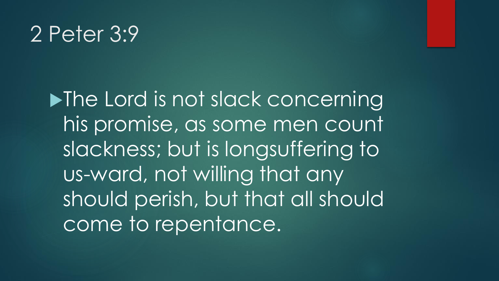#### 2 Peter 3:9

**Industry 19 The Lord is not slack concerning** his promise, as some men count slackness; but is longsuffering to us-ward, not willing that any should perish, but that all should come to repentance.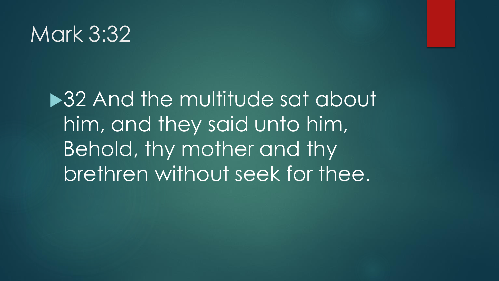#### Mark 3:32

▶32 And the multitude sat about him, and they said unto him, Behold, thy mother and thy brethren without seek for thee.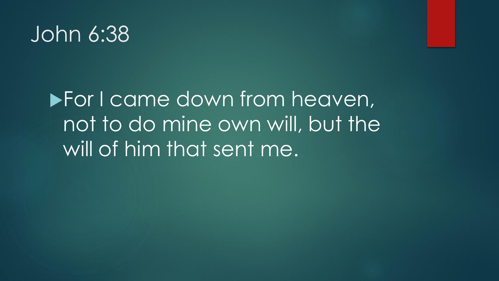#### John 6:38

# **For I came down from heaven,** not to do mine own will, but the will of him that sent me.